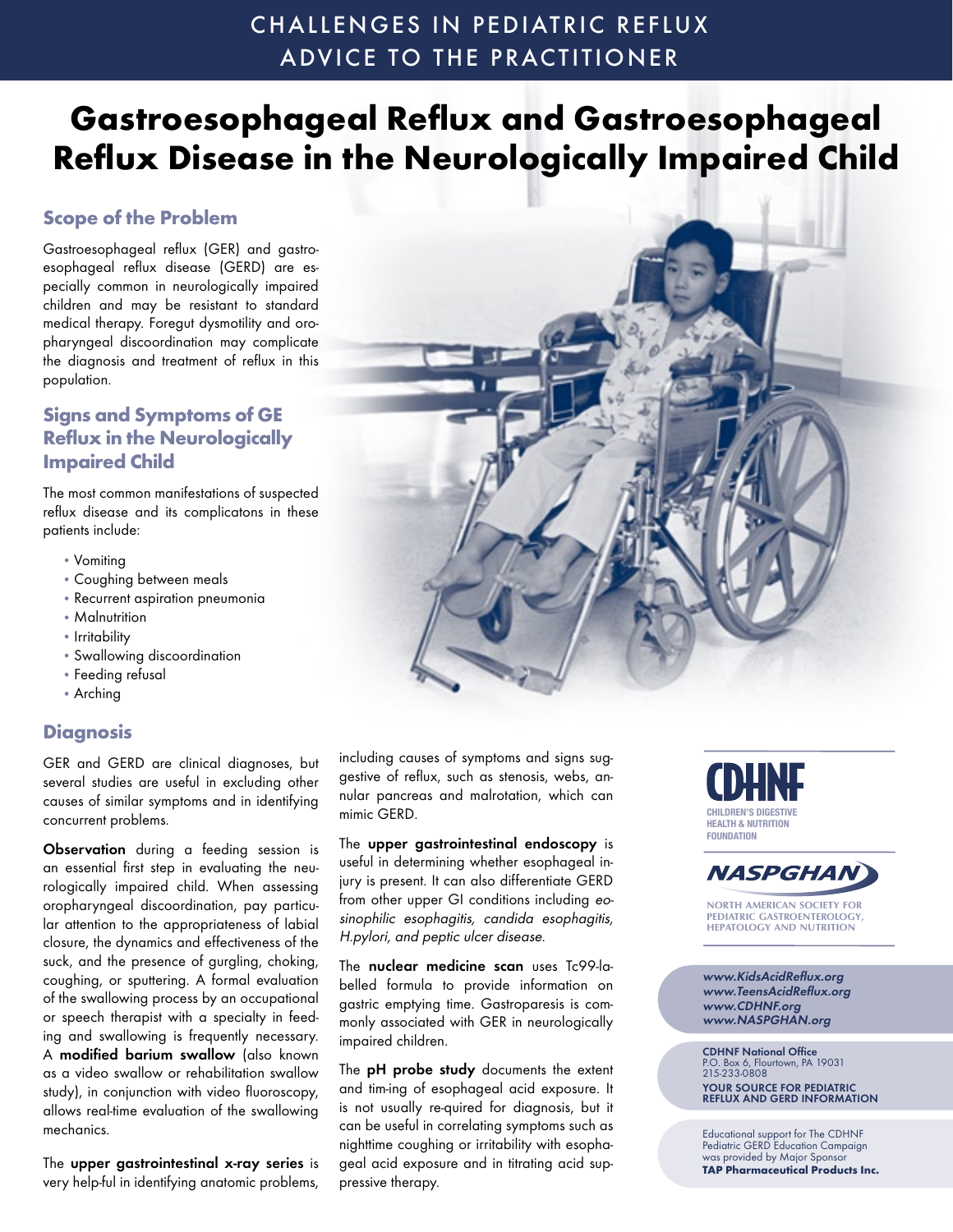# CHALLENGES IN PEDIATRIC REFLUX ADVICE TO THE PRACTITIONER

# **Gastroesophageal Reflux and Gastroesophageal Reflux Disease in the Neurologically Impaired Child**

# **Scope of the Problem**

Gastroesophageal reflux (GER) and gastroesophageal reflux disease (GERD) are especially common in neurologically impaired children and may be resistant to standard medical therapy. Foregut dysmotility and oropharyngeal discoordination may complicate the diagnosis and treatment of reflux in this population.

# **Signs and Symptoms of GE Reflux in the Neurologically Impaired Child**

The most common manifestations of suspected reflux disease and its complicatons in these patients include:

- Vomiting
- Coughing between meals
- Recurrent aspiration pneumonia
- Malnutrition
- Irritability
- Swallowing discoordination
- Feeding refusal
- Arching

## **Diagnosis**

GER and GERD are clinical diagnoses, but several studies are useful in excluding other causes of similar symptoms and in identifying concurrent problems.

Observation during a feeding session is an essential first step in evaluating the neurologically impaired child. When assessing oropharyngeal discoordination, pay particular attention to the appropriateness of labial closure, the dynamics and effectiveness of the suck, and the presence of gurgling, choking, coughing, or sputtering. A formal evaluation of the swallowing process by an occupational or speech therapist with a specialty in feeding and swallowing is frequently necessary. A modified barium swallow (also known as a video swallow or rehabilitation swallow study), in conjunction with video fluoroscopy, allows real-time evaluation of the swallowing mechanics.

The upper gastrointestinal x-ray series is very help-ful in identifying anatomic problems,

including causes of symptoms and signs suggestive of reflux, such as stenosis, webs, annular pancreas and malrotation, which can mimic GERD.

The upper gastrointestinal endoscopy is useful in determining whether esophageal injury is present. It can also differentiate GERD from other upper GI conditions including eosinophilic esophagitis, candida esophagitis, H.pylori, and peptic ulcer disease.

The nuclear medicine scan uses Tc99-labelled formula to provide information on gastric emptying time. Gastroparesis is commonly associated with GER in neurologically impaired children.

The pH probe study documents the extent and tim-ing of esophageal acid exposure. It is not usually re-quired for diagnosis, but it can be useful in correlating symptoms such as nighttime coughing or irritability with esophageal acid exposure and in titrating acid suppressive therapy.





**NORTH AMERICAN SOCIETY FOR PEDIATRIC GASTROENTEROLOGY, HEPATOLOGY AND NUTRITION**

www.KidsAcidReflux.org www.TeensAcidReflux.org www.CDHNF.org www.NASPGHAN.org

**CDHNF National Office**<br>P.O. Box 6, Flourtown, PA 19031<br>215-233-0808 YOUR SOURCE FOR PEDIATRIC REFLUX AND GERD INFORMATION

Educational support for The CDHNF Pediatric GERD Education Campaign was provided by Major Sponsor **TAP Pharmaceutical Products Inc.**